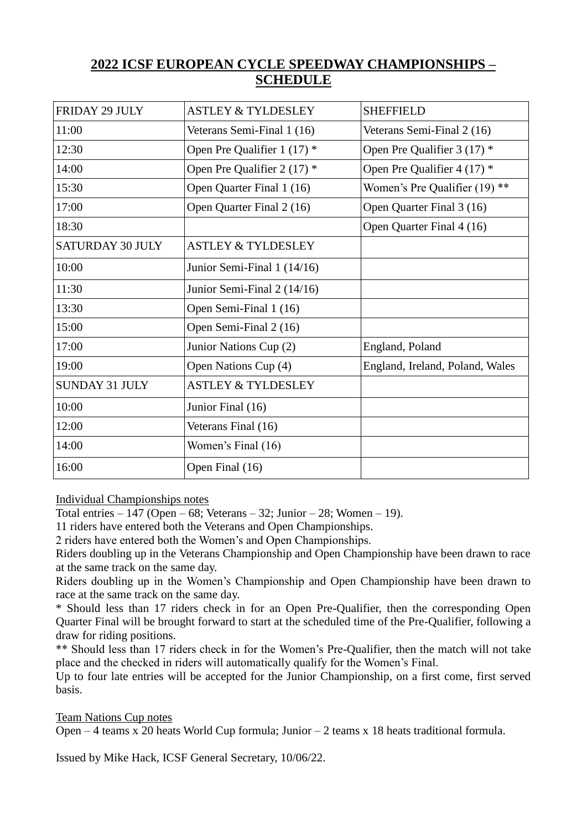## **2022 ICSF EUROPEAN CYCLE SPEEDWAY CHAMPIONSHIPS – SCHEDULE**

| <b>FRIDAY 29 JULY</b>   | <b>ASTLEY &amp; TYLDESLEY</b> | <b>SHEFFIELD</b>                |
|-------------------------|-------------------------------|---------------------------------|
| 11:00                   | Veterans Semi-Final 1 (16)    | Veterans Semi-Final 2 (16)      |
| 12:30                   | Open Pre Qualifier 1 (17) *   | Open Pre Qualifier $3(17)$ *    |
| 14:00                   | Open Pre Qualifier $2(17)$ *  | Open Pre Qualifier 4 (17) *     |
| 15:30                   | Open Quarter Final 1 (16)     | Women's Pre Qualifier (19) **   |
| 17:00                   | Open Quarter Final 2 (16)     | Open Quarter Final 3 (16)       |
| 18:30                   |                               | Open Quarter Final 4 (16)       |
| <b>SATURDAY 30 JULY</b> | <b>ASTLEY &amp; TYLDESLEY</b> |                                 |
| 10:00                   | Junior Semi-Final 1 (14/16)   |                                 |
| 11:30                   | Junior Semi-Final 2 (14/16)   |                                 |
| 13:30                   | Open Semi-Final 1 (16)        |                                 |
| 15:00                   | Open Semi-Final 2 (16)        |                                 |
| 17:00                   | Junior Nations Cup (2)        | England, Poland                 |
| 19:00                   | Open Nations Cup (4)          | England, Ireland, Poland, Wales |
| <b>SUNDAY 31 JULY</b>   | <b>ASTLEY &amp; TYLDESLEY</b> |                                 |
| 10:00                   | Junior Final (16)             |                                 |
| 12:00                   | Veterans Final (16)           |                                 |
| 14:00                   | Women's Final (16)            |                                 |
| 16:00                   | Open Final (16)               |                                 |

Individual Championships notes

Total entries  $-147$  (Open  $-68$ ; Veterans  $-32$ ; Junior  $-28$ ; Women  $-19$ ).

11 riders have entered both the Veterans and Open Championships.

2 riders have entered both the Women's and Open Championships.

Riders doubling up in the Veterans Championship and Open Championship have been drawn to race at the same track on the same day.

Riders doubling up in the Women's Championship and Open Championship have been drawn to race at the same track on the same day.

\* Should less than 17 riders check in for an Open Pre-Qualifier, then the corresponding Open Quarter Final will be brought forward to start at the scheduled time of the Pre-Qualifier, following a draw for riding positions.

\*\* Should less than 17 riders check in for the Women's Pre-Qualifier, then the match will not take place and the checked in riders will automatically qualify for the Women's Final.

Up to four late entries will be accepted for the Junior Championship, on a first come, first served basis.

Team Nations Cup notes

Open – 4 teams x 20 heats World Cup formula; Junior – 2 teams x 18 heats traditional formula.

Issued by Mike Hack, ICSF General Secretary, 10/06/22.